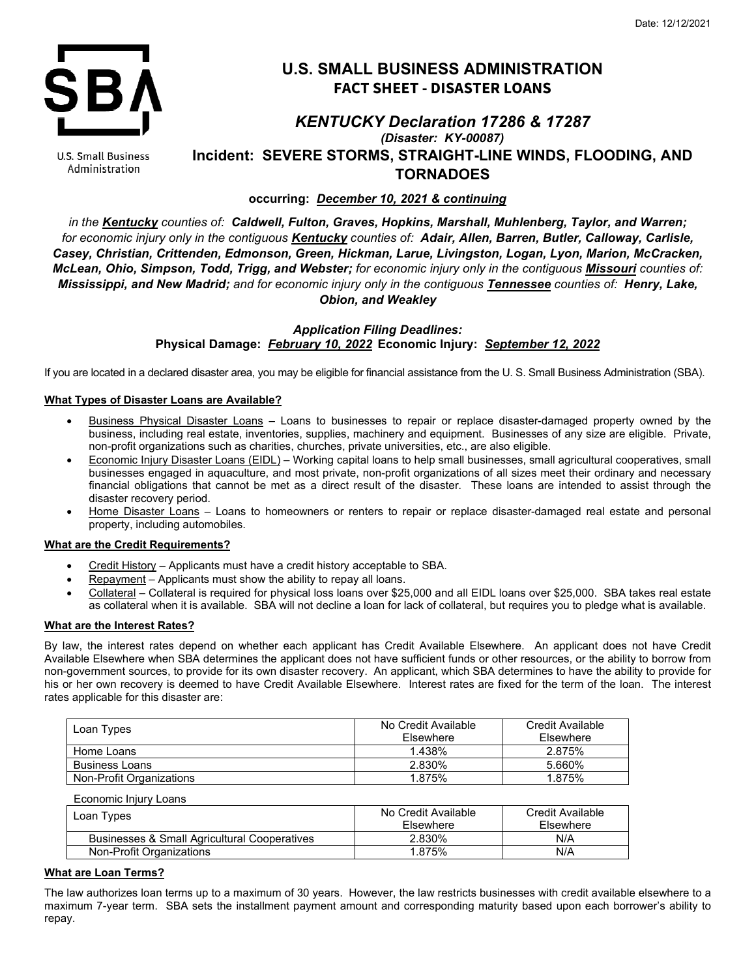

U.S. Small Business Administration

# **U.S. SMALL BUSINESS ADMINISTRATION FACT SHEET - DISASTER LOANS**

## *KENTUCKY Declaration 17286 & 17287 (Disaster: KY-00087)* **Incident: SEVERE STORMS, STRAIGHT-LINE WINDS, FLOODING, AND TORNADOES**

### **occurring:** *December 10, 2021 & continuing*

*in the Kentucky counties of: Caldwell, Fulton, Graves, Hopkins, Marshall, Muhlenberg, Taylor, and Warren; for economic injury only in the contiguous Kentucky counties of: Adair, Allen, Barren, Butler, Calloway, Carlisle, Casey, Christian, Crittenden, Edmonson, Green, Hickman, Larue, Livingston, Logan, Lyon, Marion, McCracken, McLean, Ohio, Simpson, Todd, Trigg, and Webster; for economic injury only in the contiguous Missouri counties of: Mississippi, and New Madrid; and for economic injury only in the contiguous Tennessee counties of: Henry, Lake, Obion, and Weakley*

> *Application Filing Deadlines:* **Physical Damage:** *February 10, 2022* **Economic Injury:** *September 12, 2022*

If you are located in a declared disaster area, you may be eligible for financial assistance from the U. S. Small Business Administration (SBA).

#### **What Types of Disaster Loans are Available?**

- Business Physical Disaster Loans Loans to businesses to repair or replace disaster-damaged property owned by the business, including real estate, inventories, supplies, machinery and equipment. Businesses of any size are eligible. Private, non-profit organizations such as charities, churches, private universities, etc., are also eligible.
- Economic Injury Disaster Loans (EIDL) Working capital loans to help small businesses, small agricultural cooperatives, small businesses engaged in aquaculture, and most private, non-profit organizations of all sizes meet their ordinary and necessary financial obligations that cannot be met as a direct result of the disaster. These loans are intended to assist through the disaster recovery period.
- Home Disaster Loans Loans to homeowners or renters to repair or replace disaster-damaged real estate and personal property, including automobiles.

#### **What are the Credit Requirements?**

- Credit History Applicants must have a credit history acceptable to SBA.
- Repayment Applicants must show the ability to repay all loans.
- Collateral Collateral is required for physical loss loans over \$25,000 and all EIDL loans over \$25,000. SBA takes real estate as collateral when it is available. SBA will not decline a loan for lack of collateral, but requires you to pledge what is available.

#### **What are the Interest Rates?**

By law, the interest rates depend on whether each applicant has Credit Available Elsewhere. An applicant does not have Credit Available Elsewhere when SBA determines the applicant does not have sufficient funds or other resources, or the ability to borrow from non-government sources, to provide for its own disaster recovery. An applicant, which SBA determines to have the ability to provide for his or her own recovery is deemed to have Credit Available Elsewhere. Interest rates are fixed for the term of the loan. The interest rates applicable for this disaster are:

| Loan Types               | No Credit Available<br><b>Fisewhere</b> | Credit Available<br><b>Fisewhere</b> |
|--------------------------|-----------------------------------------|--------------------------------------|
| Home Loans               | 1.438%                                  | 2.875%                               |
| <b>Business Loans</b>    | 2.830%                                  | 5.660%                               |
| Non-Profit Organizations | 1.875%                                  | 1.875%                               |

| Economic Injury Loans                        |                                  |                               |
|----------------------------------------------|----------------------------------|-------------------------------|
| Loan Types                                   | No Credit Available<br>Elsewhere | Credit Available<br>Elsewhere |
| Businesses & Small Agricultural Cooperatives | 2.830%                           | N/A                           |
| Non-Profit Organizations                     | 1.875%                           | N/A                           |

#### **What are Loan Terms?**

The law authorizes loan terms up to a maximum of 30 years. However, the law restricts businesses with credit available elsewhere to a maximum 7-year term. SBA sets the installment payment amount and corresponding maturity based upon each borrower's ability to repay.